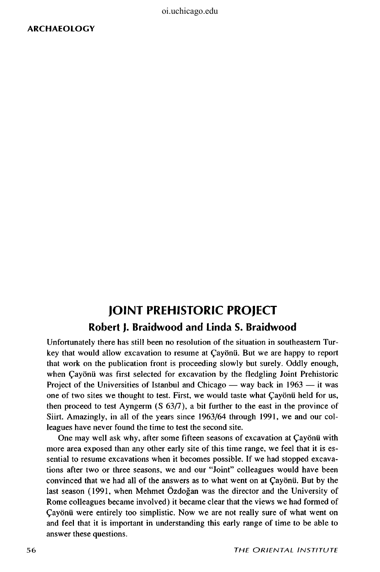oi.uchicago.edu

## **JOINT PREHISTORIC PROJECT Robert J. Braidwood and Linda S. Braidwood**

Unfortunately there has still been no resolution of the situation in southeastern Turkey that would allow excavation to resume at £ayonu. But we are happy to report that work on the publication front is proceeding slowly but surely. Oddly enough, when Cayonii was first selected for excavation by the fledgling Joint Prehistoric Project of the Universities of Istanbul and Chicago — way back in 1963 — it was one of two sites we thought to test. First, we would taste what Cayonii held for us, then proceed to test Ayngerm (S 63/7), a bit further to the east in the province of Siirt. Amazingly, in all of the years since 1963/64 through 1991, we and our colleagues have never found the time to test the second site.

One may well ask why, after some fifteen seasons of excavation at Cayonu with more area exposed than any other early site of this time range, we feel that it is essential to resume excavations when it becomes possible. If we had stopped excavations after two or three seasons, we and our "Joint" colleagues would have been convinced that we had all of the answers as to what went on at Cayonu. But by the last season (1991, when Mehmet Ozdogan was the director and the University of Rome colleagues became involved) it became clear that the views we had formed of £ayonu were entirely too simplistic. Now we are not really sure of what went on and feel that it is important in understanding this early range of time to be able to answer these questions.